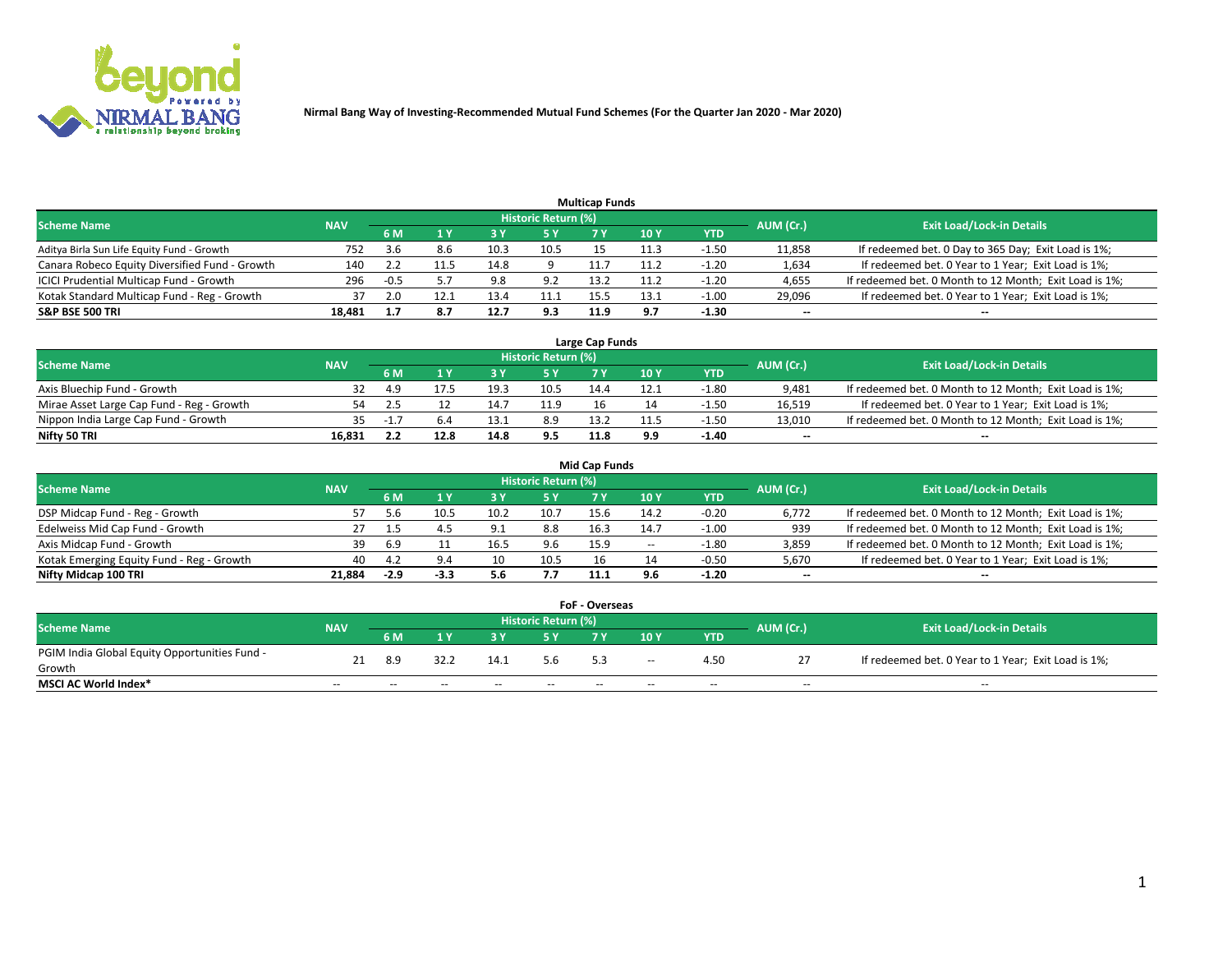

|                                                |            |        |      |      |                     | <b>Multicap Funds</b> |      |         |           |                                                        |
|------------------------------------------------|------------|--------|------|------|---------------------|-----------------------|------|---------|-----------|--------------------------------------------------------|
| <b>Scheme Name</b>                             | <b>NAV</b> |        |      |      | Historic Return (%) |                       |      |         | AUM (Cr.) | <b>Exit Load/Lock-in Details</b>                       |
|                                                |            | 6 M    |      |      | <b>5 Y</b>          |                       | 10Y  | YTD     |           |                                                        |
| Aditya Birla Sun Life Equity Fund - Growth     | 752        | .3.b   | 8.b  | 10.3 | 10.5                |                       |      | $-1.50$ | 11,858    | If redeemed bet. 0 Day to 365 Day; Exit Load is 1%;    |
| Canara Robeco Equity Diversified Fund - Growth | 140        |        |      | 14.8 |                     |                       | 11.2 | $-1.20$ | 1,634     | If redeemed bet. 0 Year to 1 Year; Exit Load is 1%;    |
| ICICI Prudential Multicap Fund - Growth        | 296        | $-0.5$ |      | 9.8  | 9.2                 | 13.2                  | 11.2 | $-1.20$ | 4,655     | If redeemed bet. 0 Month to 12 Month; Exit Load is 1%; |
| Kotak Standard Multicap Fund - Reg - Growth    | 37         | 2.0    | 12.1 | 13.4 | 11.1                | 15.5                  | 13.1 | $-1.00$ | 29,096    | If redeemed bet. 0 Year to 1 Year; Exit Load is 1%;    |
| <b>S&amp;P BSE 500 TRI</b>                     | 18.481     |        | 8.7  | 12.7 | 9.3                 | 11.9                  | 9.7  | $-1.30$ | $\sim$    | $-$                                                    |

| Large Cap Funds                           |            |      |      |      |                     |      |      |         |           |                                                        |  |  |  |  |
|-------------------------------------------|------------|------|------|------|---------------------|------|------|---------|-----------|--------------------------------------------------------|--|--|--|--|
| Scheme Name                               | <b>NAV</b> |      |      |      | Historic Return (%) |      |      |         | AUM (Cr.) | <b>Exit Load/Lock-in Details</b>                       |  |  |  |  |
|                                           |            | 6 M  |      |      | 5 Y                 |      | 10Y  | YTD     |           |                                                        |  |  |  |  |
| Axis Bluechip Fund - Growth               |            |      |      | 19.3 | 10.5                | 14.4 | 12.1 | $-1.80$ | 9,481     | If redeemed bet. 0 Month to 12 Month; Exit Load is 1%; |  |  |  |  |
| Mirae Asset Large Cap Fund - Reg - Growth | 54         |      |      |      | 11.9                |      |      | $-1.50$ | 16,519    | If redeemed bet. 0 Year to 1 Year; Exit Load is 1%;    |  |  |  |  |
| Nippon India Large Cap Fund - Growth      |            | $-1$ |      |      | 8.9                 | 13.2 |      | $-1.50$ | 13,010    | If redeemed bet. 0 Month to 12 Month; Exit Load is 1%; |  |  |  |  |
| Nifty 50 TRI                              | 16.831     |      | 12.8 | 14.8 | 9.5                 | 11.8 | 9.9  | $-1.40$ | $\sim$    | $\sim$                                                 |  |  |  |  |

|                                           |            |        |      |      |                     | <b>Mid Cap Funds</b> |       |            |           |                                                        |
|-------------------------------------------|------------|--------|------|------|---------------------|----------------------|-------|------------|-----------|--------------------------------------------------------|
| <b>Scheme Name</b>                        | <b>NAV</b> |        |      |      | Historic Return (%) |                      |       |            | AUM (Cr.) | <b>Exit Load/Lock-in Details</b>                       |
|                                           |            | 6 M    |      |      | 5 Y                 |                      | 10 Y  | <b>YTD</b> |           |                                                        |
| DSP Midcap Fund - Reg - Growth            | 57         |        | 10.5 | 10.2 | 10.7                | 15.6                 | 14.2  | $-0.20$    | 6,772     | If redeemed bet. 0 Month to 12 Month; Exit Load is 1%; |
| Edelweiss Mid Cap Fund - Growth           |            |        |      | q    | 8.8                 | 16.3                 | 14.7  | $-1.00$    | 939       | If redeemed bet. 0 Month to 12 Month; Exit Load is 1%; |
| Axis Midcap Fund - Growth                 | 39.        | -6.9   |      | 16.5 |                     | 15.9                 | $- -$ | $-1.80$    | 3,859     | If redeemed bet. 0 Month to 12 Month; Exit Load is 1%; |
| Kotak Emerging Equity Fund - Reg - Growth | 40         | 4.2    | .14  |      | 10.5                |                      |       | $-0.50$    | 5,670     | If redeemed bet. 0 Year to 1 Year; Exit Load is 1%;    |
| Nifty Midcap 100 TRI                      | 21.884     | $-2.9$ |      | 5.6  | 7.7                 | 11.1                 | 9.6   | $-1.20$    | $\sim$    | $\sim$                                                 |

| <b>FoF - Overseas</b>                         |            |                                                                             |      |       |       |       |        |            |       |                                                     |  |  |  |
|-----------------------------------------------|------------|-----------------------------------------------------------------------------|------|-------|-------|-------|--------|------------|-------|-----------------------------------------------------|--|--|--|
| <b>Scheme Name</b>                            | <b>NAV</b> | <b>Historic Return (%)</b><br>AUM (Cr.)<br><b>Exit Load/Lock-in Details</b> |      |       |       |       |        |            |       |                                                     |  |  |  |
|                                               |            | 6 M                                                                         | 1 V  |       |       |       | 10 Y   | <b>YTD</b> |       |                                                     |  |  |  |
| PGIM India Global Equity Opportunities Fund - |            | 8.9                                                                         | 32.2 | 14.1  | 5.6   | 5.3   | $\sim$ | 4.50       |       | If redeemed bet. 0 Year to 1 Year; Exit Load is 1%; |  |  |  |
| Growth                                        |            |                                                                             |      |       |       |       |        |            |       |                                                     |  |  |  |
| MSCI AC World Index*                          | $- -$      | --                                                                          |      | $- -$ | $- -$ | $- -$ | $- -$  | $- -$      | $- -$ | $- -$                                               |  |  |  |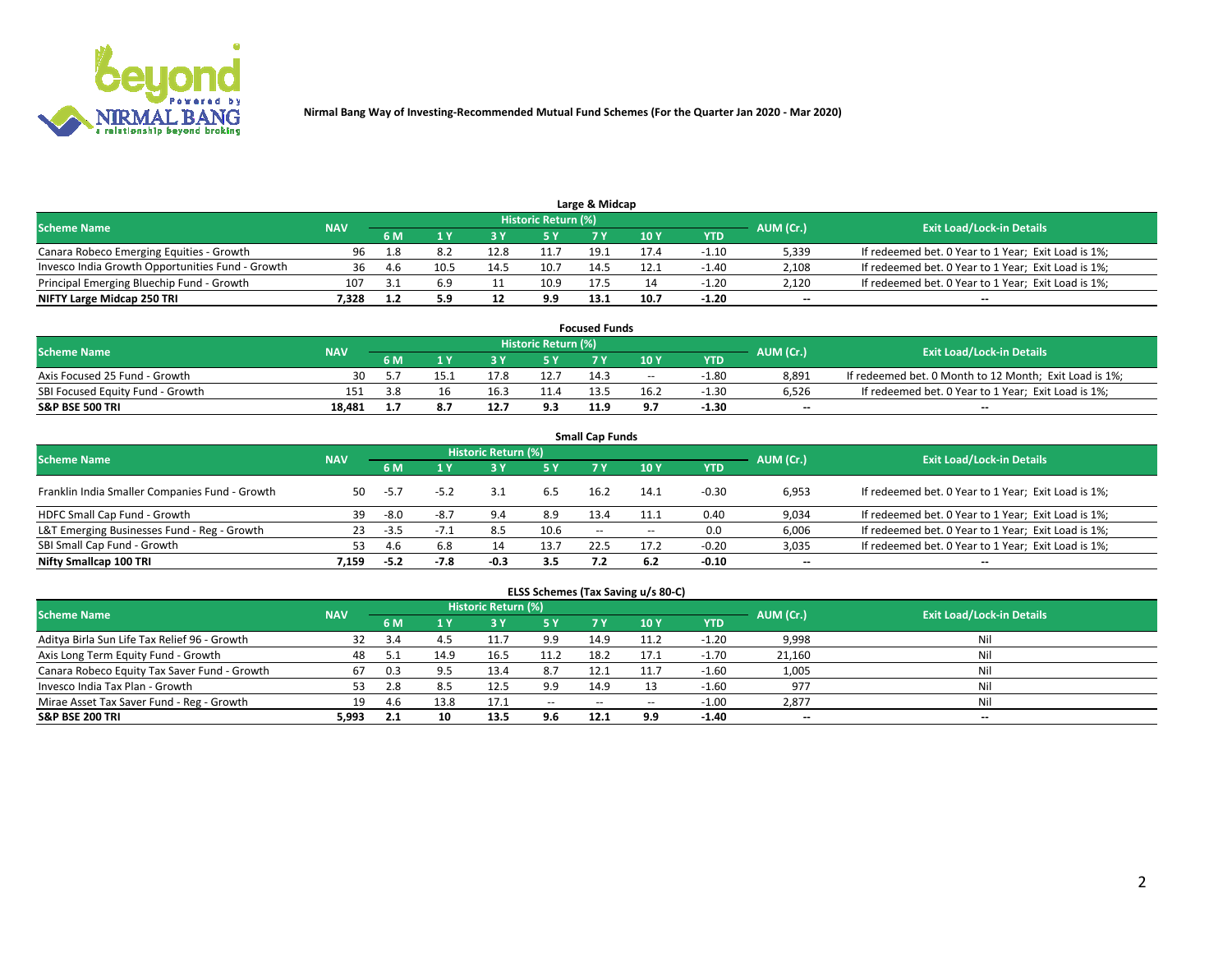

|                                                  |            |       |      |      |                     | Large & Midcap |      |         |           |                                                     |
|--------------------------------------------------|------------|-------|------|------|---------------------|----------------|------|---------|-----------|-----------------------------------------------------|
| <b>Scheme Name</b>                               | <b>NAV</b> |       |      |      | Historic Return (%) |                |      |         | AUM (Cr.) | <b>Exit Load/Lock-in Details</b>                    |
|                                                  |            | 6 M   |      |      | 5 Y                 |                | 10Y  | YTD     |           |                                                     |
| Canara Robeco Emerging Equities - Growth         | 96         | - 1.8 | 8.2  | 12.8 |                     | 19.1           | 17.4 | $-1.10$ | 5,339     | If redeemed bet. 0 Year to 1 Year; Exit Load is 1%; |
| Invesco India Growth Opportunities Fund - Growth | 36         | 4.6   | 10.5 | 14.5 | 10.7                | 14.5           | 12.1 | $-1.40$ | 2,108     | If redeemed bet. 0 Year to 1 Year; Exit Load is 1%; |
| Principal Emerging Bluechip Fund - Growth        | 107        |       | 6.9  |      | 10.9                | 17.5           |      | $-1.20$ | 2,120     | If redeemed bet. 0 Year to 1 Year; Exit Load is 1%; |
| NIFTY Large Midcap 250 TRI                       | 7.328      |       | 5.9  | -14  | 9.9                 | 13.1           | 10.7 | $-1.20$ | $\sim$    | $-$                                                 |

| <b>Focused Funds</b>             |            |     |      |      |                     |      |       |         |           |                                                        |  |  |  |
|----------------------------------|------------|-----|------|------|---------------------|------|-------|---------|-----------|--------------------------------------------------------|--|--|--|
| <b>Scheme Name</b>               | <b>NAV</b> |     |      |      | Historic Return (%) |      |       |         | AUM (Cr.) | <b>Exit Load/Lock-in Details</b>                       |  |  |  |
|                                  |            | 6 M |      |      |                     |      | 10 Y  | YTD     |           |                                                        |  |  |  |
| Axis Focused 25 Fund - Growth    | 30         |     | 15.1 | 17.8 | 12.7                | 14.3 | $- -$ | $-1.80$ | 8.891     | If redeemed bet. 0 Month to 12 Month; Exit Load is 1%; |  |  |  |
| SBI Focused Equity Fund - Growth | 151        |     |      |      | 11.4                | 13.5 | 16.2  | $-1.30$ | 6.526     | If redeemed bet. 0 Year to 1 Year; Exit Load is 1%;    |  |  |  |
| <b>S&amp;P BSE 500 TRI</b>       | 18.481     |     |      |      | 9.3                 | 11.9 |       | $-1.30$ | $\sim$    | $- -$                                                  |  |  |  |

| <b>Small Cap Funds</b>                         |            |        |        |                     |      |        |        |         |                          |                                                     |  |  |  |  |
|------------------------------------------------|------------|--------|--------|---------------------|------|--------|--------|---------|--------------------------|-----------------------------------------------------|--|--|--|--|
| <b>Scheme Name</b>                             | <b>NAV</b> |        |        | Historic Return (%) |      |        |        |         | AUM (Cr.)                | <b>Exit Load/Lock-in Details</b>                    |  |  |  |  |
|                                                |            | 6 M    |        | 3Y                  | 5 Y  | 7 Y    | 10Y    | YTD     |                          |                                                     |  |  |  |  |
| Franklin India Smaller Companies Fund - Growth | 50         | $-5.7$ | $-5.2$ |                     | 6.5  | 16.2   | 14.1   | $-0.30$ | 6,953                    | If redeemed bet. 0 Year to 1 Year; Exit Load is 1%; |  |  |  |  |
| HDFC Small Cap Fund - Growth                   | 39         | -8.0   | $-8.7$ | 9.4                 | 8.9  | 13.4   | 11.1   | 0.40    | 9,034                    | If redeemed bet. 0 Year to 1 Year; Exit Load is 1%; |  |  |  |  |
| L&T Emerging Businesses Fund - Reg - Growth    | 23         | -3.5   | $-7.1$ | 8.5                 | 10.6 | $\sim$ | $\sim$ | 0.0     | 6,006                    | If redeemed bet. 0 Year to 1 Year; Exit Load is 1%; |  |  |  |  |
| SBI Small Cap Fund - Growth                    | 53         | 4.6    | 6.8    | 14                  | 13.7 | 22.5   | 17.2   | $-0.20$ | 3,035                    | If redeemed bet. 0 Year to 1 Year; Exit Load is 1%; |  |  |  |  |
| Nifty Smallcap 100 TRI                         | 7.159      | $-5.2$ | $-7.8$ | -0.3                | 3.5  |        | 6.2    | $-0.10$ | $\overline{\phantom{a}}$ | $- -$                                               |  |  |  |  |

## **ELSS Schemes (Tax Saving u/s 80-C)**

| <b>Scheme Name</b>                           | <b>NAV</b> |     |      | <b>Historic Return (%)</b> |           |                          |        |         | AUM (Cr.) | <b>Exit Load/Lock-in Details</b> |
|----------------------------------------------|------------|-----|------|----------------------------|-----------|--------------------------|--------|---------|-----------|----------------------------------|
|                                              |            | 6 M | 4 Y  | 73 Y                       | <b>5Y</b> | 7 Y                      | $-10V$ | YTD     |           |                                  |
| Aditya Birla Sun Life Tax Relief 96 - Growth | 32         |     |      |                            | 9.9       | 14.9                     |        | $-1.20$ | 9,998     | Nil                              |
| Axis Long Term Equity Fund - Growth          | 48         |     | 14.9 | 16.5                       | 11.2      | 18.2                     | 17.1   | $-1.70$ | 21,160    | Nil                              |
| Canara Robeco Equity Tax Saver Fund - Growth | 67         | 0.3 |      | 13.4                       | 8.7       | 12.1                     |        | $-1.60$ | 1,005     | Nil                              |
| Invesco India Tax Plan - Growth              | 53         | 2.8 |      | 12.5                       | 9.9       | 14.9                     |        | $-1.60$ | 977       | Nil                              |
| Mirae Asset Tax Saver Fund - Reg - Growth    | 19         | 4.6 | 13.8 | 17.1                       | $\sim$    | $\overline{\phantom{a}}$ | --     | $-1.00$ | 2,877     | Nil                              |
| <b>S&amp;P BSE 200 TRI</b>                   | 5,993      | 2.1 |      | 13.5                       | 9.6       | 12.1                     | 9.9    | $-1.40$ | $-$       | $- -$                            |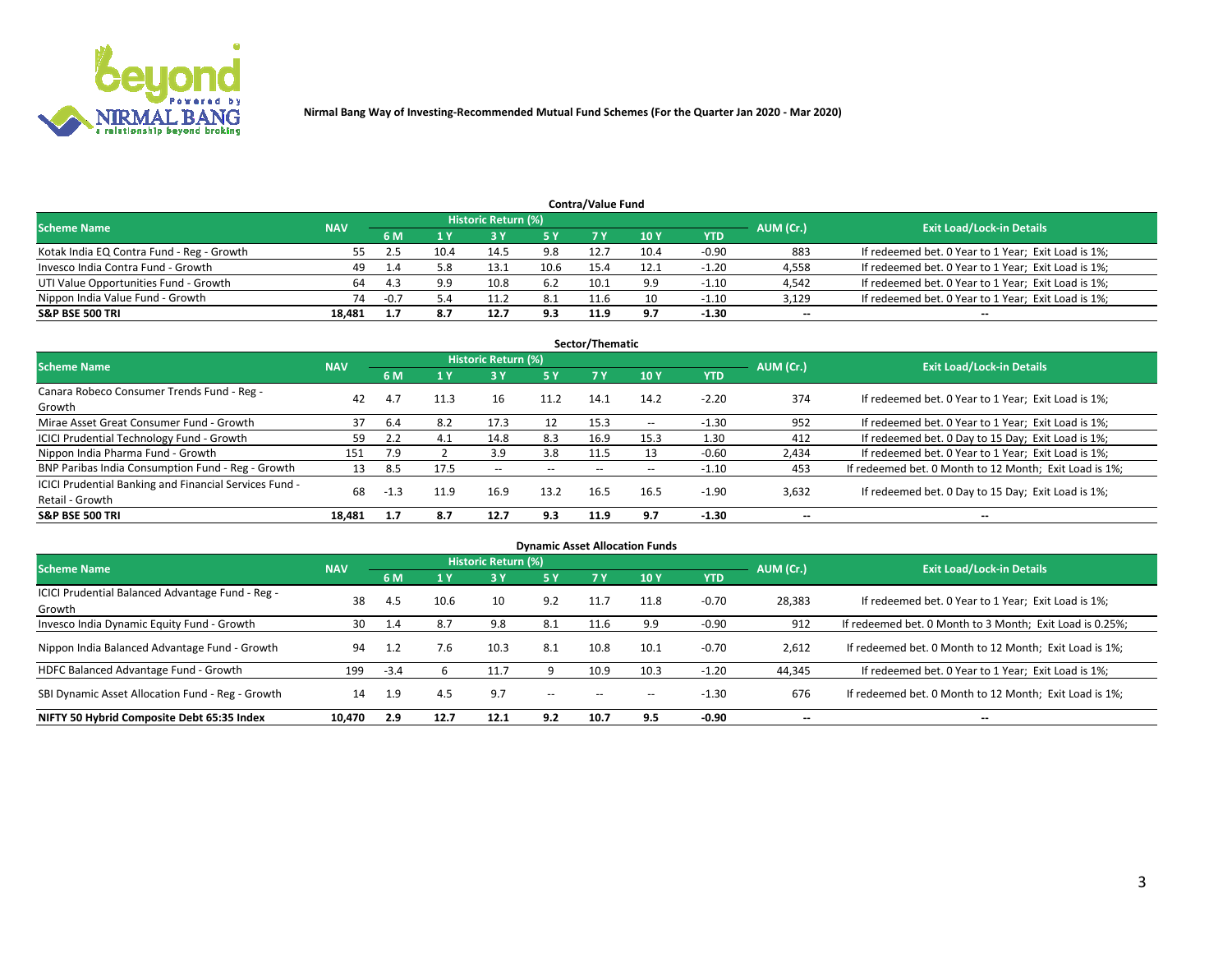

| <b>Contra/Value Fund</b><br>Historic Return (%) |            |        |      |      |      |      |      |         |           |                                                     |  |  |  |
|-------------------------------------------------|------------|--------|------|------|------|------|------|---------|-----------|-----------------------------------------------------|--|--|--|
| <b>Scheme Name</b>                              | <b>NAV</b> | 6 M    |      |      | 5 Y  | 7 Y  | 10Y  | YTD     | AUM (Cr.) | <b>Exit Load/Lock-in Details</b>                    |  |  |  |
| Kotak India EQ Contra Fund - Reg - Growth       |            |        | 10.4 | 14.5 | 9.8  | 12.7 | 10.4 | $-0.90$ | 883       | If redeemed bet. 0 Year to 1 Year; Exit Load is 1%; |  |  |  |
| Invesco India Contra Fund - Growth              | 49         |        | 5.8  | 13.1 | 10.6 | 15.4 | 12.1 | $-1.20$ | 4,558     | If redeemed bet. 0 Year to 1 Year; Exit Load is 1%; |  |  |  |
| UTI Value Opportunities Fund - Growth           | 64         | -4.3   | 9.9  |      | 6.2  | 10.1 | 9.9  | $-1.10$ | 4,542     | If redeemed bet. 0 Year to 1 Year; Exit Load is 1%; |  |  |  |
| Nippon India Value Fund - Growth                | 74         | $-0.7$ | 5.4  |      | 8.1  | 11.6 |      | $-1.10$ | 3,129     | If redeemed bet. 0 Year to 1 Year; Exit Load is 1%; |  |  |  |
| <b>S&amp;P BSE 500 TRI</b>                      | 18.481     |        | 8.7  | 12.7 | 9.3  | 11.9 | 9.7  | $-1.30$ | $\sim$    | $- -$                                               |  |  |  |

| Sector/Thematic                                                           |            |        |      |                     |       |       |                          |            |                          |                                                        |  |  |  |
|---------------------------------------------------------------------------|------------|--------|------|---------------------|-------|-------|--------------------------|------------|--------------------------|--------------------------------------------------------|--|--|--|
| <b>Scheme Name</b>                                                        | <b>NAV</b> |        |      | Historic Return (%) |       |       |                          |            | AUM (Cr.)                | <b>Exit Load/Lock-in Details</b>                       |  |  |  |
|                                                                           |            | 6 M    | 1 Y  | 73 Y                | 5 Y   | 7 Y   | 10Y                      | <b>YTD</b> |                          |                                                        |  |  |  |
| Canara Robeco Consumer Trends Fund - Reg -<br>Growth                      | 42         | 4.7    | 11.3 | 16                  | 11.2  | 14.1  | 14.2                     | $-2.20$    | 374                      | If redeemed bet. 0 Year to 1 Year; Exit Load is 1%;    |  |  |  |
| Mirae Asset Great Consumer Fund - Growth                                  | 37         | 6.4    | 8.2  | 17.3                | 12    | 15.3  | $\overline{\phantom{a}}$ | $-1.30$    | 952                      | If redeemed bet. 0 Year to 1 Year; Exit Load is 1%;    |  |  |  |
| ICICI Prudential Technology Fund - Growth                                 | 59         |        | 4.1  | 14.8                | 8.3   | 16.9  | 15.3                     | 1.30       | 412                      | If redeemed bet. 0 Day to 15 Day; Exit Load is 1%;     |  |  |  |
| Nippon India Pharma Fund - Growth                                         | 151        | 7.9    |      | 3.9                 | 3.8   | 11.5  | 13                       | $-0.60$    | 2,434                    | If redeemed bet. 0 Year to 1 Year; Exit Load is 1%;    |  |  |  |
| BNP Paribas India Consumption Fund - Reg - Growth                         | 13         | 8.5    | 17.5 | $- -$               | $- -$ | $- -$ | $- -$                    | $-1.10$    | 453                      | If redeemed bet. 0 Month to 12 Month; Exit Load is 1%; |  |  |  |
| ICICI Prudential Banking and Financial Services Fund -<br>Retail - Growth | 68         | $-1.3$ | 11.9 | 16.9                | 13.2  | 16.5  | 16.5                     | -1.90      | 3,632                    | If redeemed bet. 0 Day to 15 Day; Exit Load is 1%;     |  |  |  |
| <b>S&amp;P BSE 500 TRI</b>                                                | 18.481     | 1.7    | 8.7  | 12.7                | 9.3   | 11.9  | 9.7                      | $-1.30$    | $\overline{\phantom{a}}$ | $\overline{\phantom{a}}$                               |  |  |  |

| <b>Dynamic Asset Allocation Funds</b>                      |            |        |      |                     |        |       |                          |            |           |                                                          |  |  |  |
|------------------------------------------------------------|------------|--------|------|---------------------|--------|-------|--------------------------|------------|-----------|----------------------------------------------------------|--|--|--|
| <b>Scheme Name</b>                                         | <b>NAV</b> |        |      | Historic Return (%) |        |       |                          |            | AUM (Cr.) | <b>Exit Load/Lock-in Details</b>                         |  |  |  |
|                                                            |            | 6 M    | 1 Y  | 73 Y                | 5 Y    | 7 Y   | 10Y                      | <b>YTD</b> |           |                                                          |  |  |  |
| ICICI Prudential Balanced Advantage Fund - Reg -<br>Growth | 38         | 4.5    | 10.6 | 10                  | 9.2    |       | 11.8                     | $-0.70$    | 28,383    | If redeemed bet. 0 Year to 1 Year; Exit Load is 1%;      |  |  |  |
| Invesco India Dynamic Equity Fund - Growth                 | 30         | 1.4    | 8.7  | 9.8                 | 8.1    | 11.6  | 9.9                      | $-0.90$    | 912       | If redeemed bet. 0 Month to 3 Month; Exit Load is 0.25%; |  |  |  |
| Nippon India Balanced Advantage Fund - Growth              | 94         | 1.2    | 7.6  | 10.3                | 8.1    | 10.8  | 10.1                     | $-0.70$    | 2,612     | If redeemed bet. 0 Month to 12 Month; Exit Load is 1%;   |  |  |  |
| HDFC Balanced Advantage Fund - Growth                      | 199        | $-3.4$ |      | 11.7                |        | 10.9  | 10.3                     | $-1.20$    | 44,345    | If redeemed bet. 0 Year to 1 Year; Exit Load is 1%;      |  |  |  |
| SBI Dynamic Asset Allocation Fund - Reg - Growth           | 14         | 1.9    | 4.5  | 9.7                 | $\sim$ | $- -$ | $\overline{\phantom{a}}$ | $-1.30$    | 676       | If redeemed bet. 0 Month to 12 Month; Exit Load is 1%;   |  |  |  |
| NIFTY 50 Hybrid Composite Debt 65:35 Index                 | 10,470     | 2.9    | 12.7 | 12.1                | 9.2    | 10.7  | 9.5                      | $-0.90$    | $\sim$    | --                                                       |  |  |  |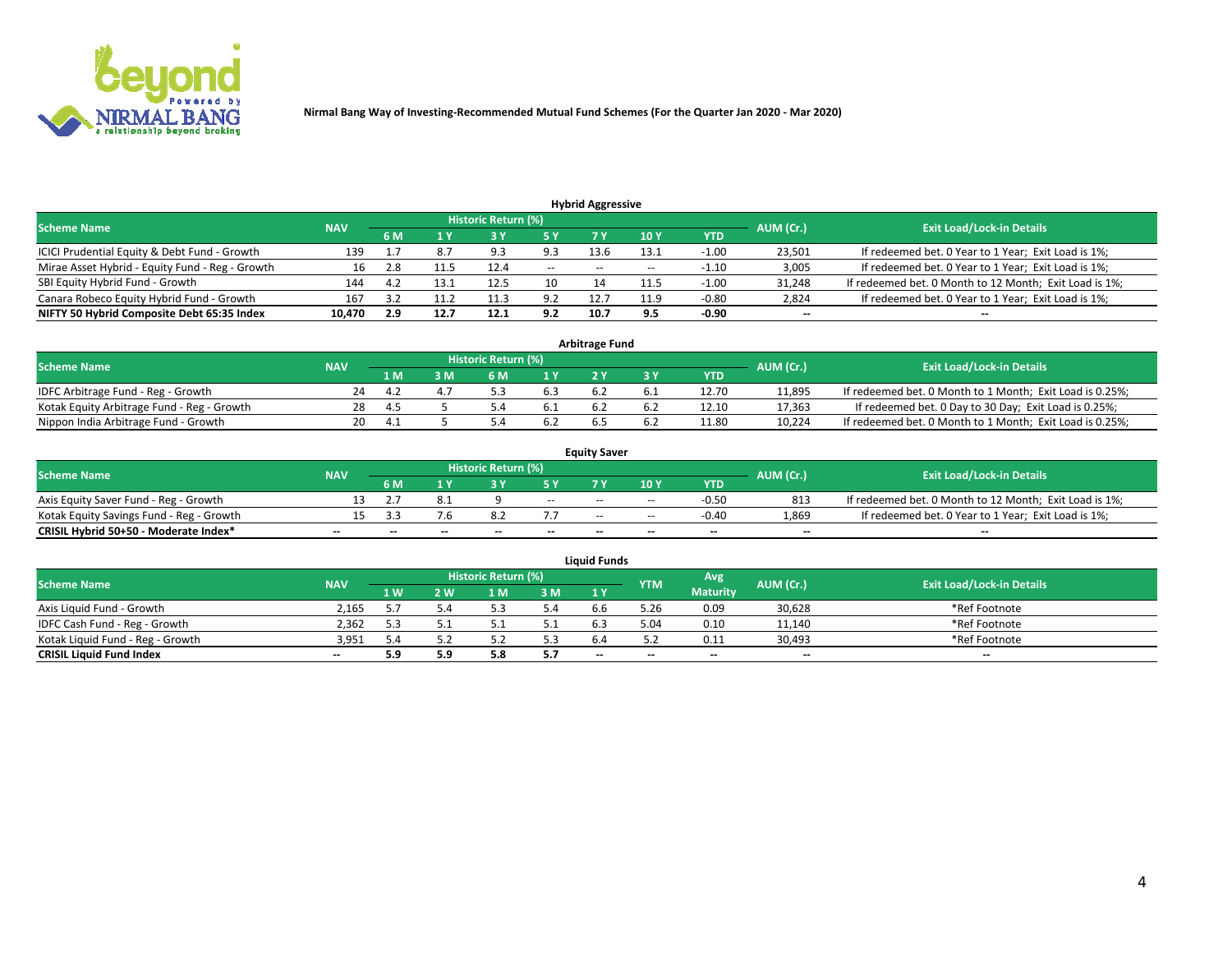

| <b>Hybrid Aggressive</b>                        |            |      |      |                            |               |       |       |         |                          |                                                        |  |  |  |  |
|-------------------------------------------------|------------|------|------|----------------------------|---------------|-------|-------|---------|--------------------------|--------------------------------------------------------|--|--|--|--|
| <b>Scheme Name</b>                              | <b>NAV</b> |      |      | <b>Historic Return (%)</b> |               |       |       |         | AUM (Cr.)                | <b>Exit Load/Lock-in Details</b>                       |  |  |  |  |
|                                                 |            | 6 M  |      |                            | 5 Y           |       | 10Y   | YTD     |                          |                                                        |  |  |  |  |
| ICICI Prudential Equity & Debt Fund - Growth    | 139        |      | 8.7  | ۹R                         | 9.3           | 13.6  | 13.1  | $-1.00$ | 23,501                   | If redeemed bet. 0 Year to 1 Year; Exit Load is 1%;    |  |  |  |  |
| Mirae Asset Hybrid - Equity Fund - Reg - Growth | 16         | 2.8  |      | 12.4                       | $\sim$ $\sim$ | $- -$ | $- -$ | $-1.10$ | 3,005                    | If redeemed bet. 0 Year to 1 Year; Exit Load is 1%;    |  |  |  |  |
| SBI Equity Hybrid Fund - Growth                 | 144        | -4.2 | 13.1 | 12.5                       | 10            |       | 11.5  | $-1.00$ | 31,248                   | If redeemed bet. 0 Month to 12 Month; Exit Load is 1%; |  |  |  |  |
| Canara Robeco Equity Hybrid Fund - Growth       | 167        |      | 11.2 |                            | 9.2           | 12.   | 11.9  | $-0.80$ | 2,824                    | If redeemed bet. 0 Year to 1 Year; Exit Load is 1%;    |  |  |  |  |
| NIFTY 50 Hybrid Composite Debt 65:35 Index      | 10.470     | 2.9  | 12.7 | 12.1                       | 9.2           | 10.7  | 9.5   | $-0.90$ | $\overline{\phantom{a}}$ | $- -$                                                  |  |  |  |  |

|                                            |            |                                  |          |                | Arbitrage Fund |     |            |        |                                                          |
|--------------------------------------------|------------|----------------------------------|----------|----------------|----------------|-----|------------|--------|----------------------------------------------------------|
| <b>Scheme Name</b>                         | AUM (Cr.)  | <b>Exit Load/Lock-in Details</b> |          |                |                |     |            |        |                                                          |
|                                            | <b>NAV</b> | l M                              | <b>M</b> | 1 <sub>V</sub> |                |     | <b>YTD</b> |        |                                                          |
| IDFC Arbitrage Fund - Reg - Growth         | 24         |                                  |          |                |                |     | 12.70      | 11,895 | If redeemed bet. 0 Month to 1 Month; Exit Load is 0.25%; |
| Kotak Equity Arbitrage Fund - Reg - Growth | 28         | -4.5                             |          | 0.1            |                | b.4 | 12.10      | 17,363 | If redeemed bet. 0 Day to 30 Day; Exit Load is 0.25%;    |
| Nippon India Arbitrage Fund - Growth       | 20         |                                  |          |                |                |     | 11.80      | 10.224 | If redeemed bet. 0 Month to 1 Month; Exit Load is 0.25%; |

|                                          |            |     |     |                            |                          | <b>Equity Saver</b> |               |            |                          |                                                        |
|------------------------------------------|------------|-----|-----|----------------------------|--------------------------|---------------------|---------------|------------|--------------------------|--------------------------------------------------------|
| Scheme Name                              | <b>NAV</b> |     |     | <b>Historic Return (%)</b> |                          |                     |               |            | AUM (Cr.)                | <b>Exit Load/Lock-in Details</b>                       |
|                                          |            | 6 M |     |                            | 5 Y                      |                     | $\sqrt{10}$ Y | <b>YTD</b> |                          |                                                        |
| Axis Equity Saver Fund - Reg - Growth    |            |     |     |                            | $\sim$                   | $- -$               | $- -$         | $-0.50$    | 813                      | If redeemed bet. 0 Month to 12 Month; Exit Load is 1%; |
| Kotak Equity Savings Fund - Reg - Growth |            |     | 7.b |                            |                          | $\sim$ $\sim$       | $- -$         | $-0.40$    | 1,869                    | If redeemed bet. 0 Year to 1 Year; Exit Load is 1%;    |
| CRISIL Hybrid 50+50 - Moderate Index*    |            | $-$ | $-$ | $\overline{\phantom{a}}$   | $\overline{\phantom{a}}$ | $\sim$              | --            | $\sim$     | $\overline{\phantom{a}}$ | $- -$                                                  |

| <b>Liquid Funds</b>              |            |      |     |                            |     |                          |            |                 |           |                                  |  |  |  |  |
|----------------------------------|------------|------|-----|----------------------------|-----|--------------------------|------------|-----------------|-----------|----------------------------------|--|--|--|--|
| Scheme Name                      | <b>NAV</b> |      |     | <b>Historic Return (%)</b> |     |                          | <b>YTM</b> | Avg             | AUM (Cr.) | <b>Exit Load/Lock-in Details</b> |  |  |  |  |
|                                  |            | 1 W. | 2 W | 1 M                        | 3 M | 71 Y                     |            | <b>Maturity</b> |           |                                  |  |  |  |  |
| Axis Liquid Fund - Growth        | 2,165      |      |     |                            | 5.4 | b.b                      | 5.26       | 0.09            | 30,628    | *Ref Footnote                    |  |  |  |  |
| IDFC Cash Fund - Reg - Growth    | 2.362      | 5.3  |     |                            | 5.1 | 6.3                      | 5.04       | 0.10            | 11,140    | *Ref Footnote                    |  |  |  |  |
| Kotak Liquid Fund - Reg - Growth | 3,951      | 4.د  |     |                            | 5.3 |                          |            | 0.11            | 30,493    | *Ref Footnote                    |  |  |  |  |
| <b>CRISIL Liquid Fund Index</b>  | $\sim$     | 5.9  | 5.9 |                            | 5.7 | $\overline{\phantom{a}}$ | $-$        | $\sim$          | $\sim$    | $\sim$                           |  |  |  |  |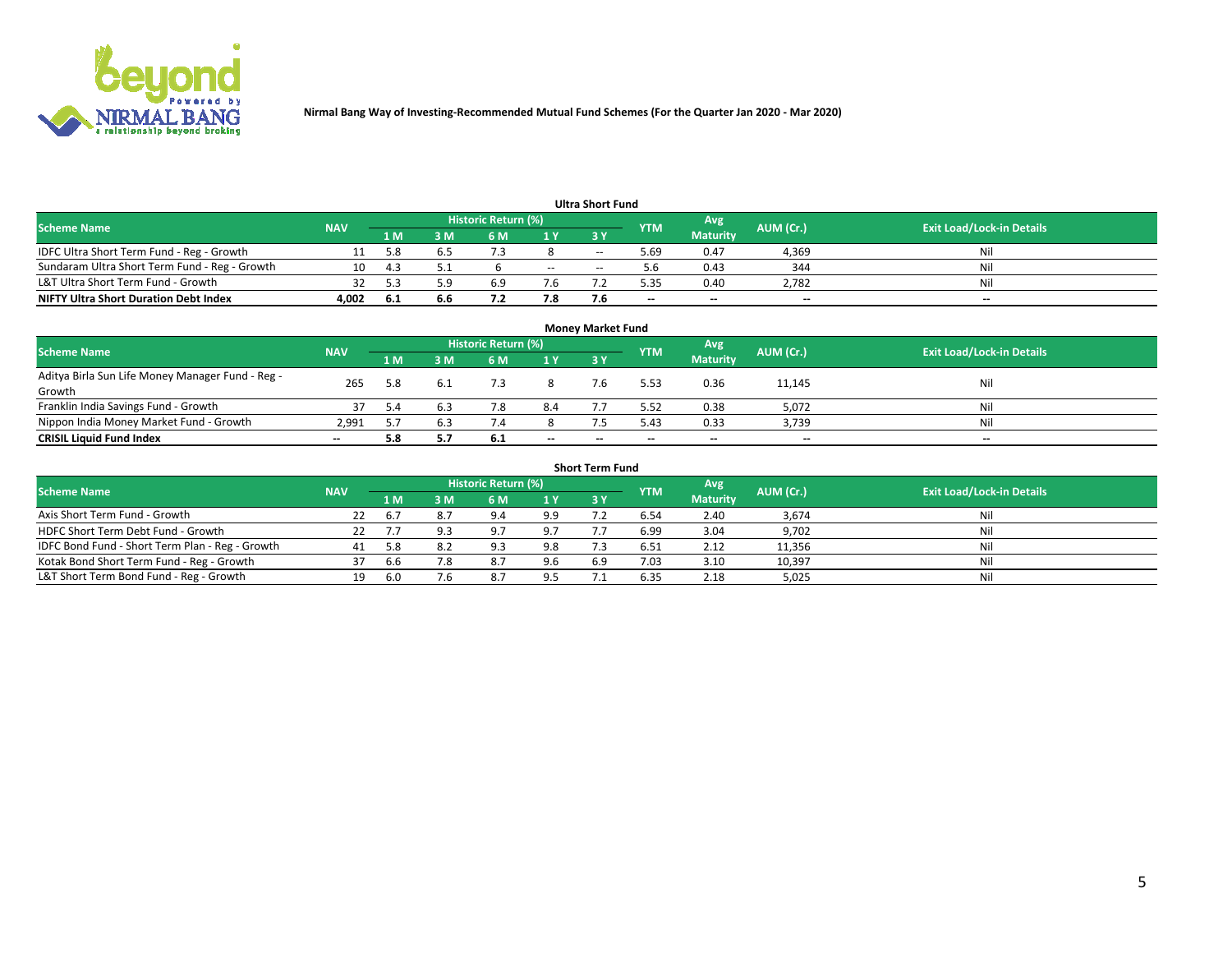

| <b>Ultra Short Fund</b>                       |            |              |     |                     |        |            |            |                 |           |                                  |  |  |  |  |
|-----------------------------------------------|------------|--------------|-----|---------------------|--------|------------|------------|-----------------|-----------|----------------------------------|--|--|--|--|
| <b>Scheme Name</b>                            | <b>NAV</b> |              |     | Historic Return (%) |        |            | <b>YTM</b> | Avg             | AUM (Cr.) | <b>Exit Load/Lock-in Details</b> |  |  |  |  |
|                                               |            | 1 M          | 3 M | 6 M                 | 1 Y    | <b>3 Y</b> |            | <b>Maturity</b> |           |                                  |  |  |  |  |
| IDFC Ultra Short Term Fund - Reg - Growth     |            | 5.8          |     |                     |        | $-$        | ۔ 69. ذ    | 0.47            | 4,369     | Nil                              |  |  |  |  |
| Sundaram Ultra Short Term Fund - Reg - Growth |            | $\mathbf{A}$ |     |                     | $\sim$ | --         | 5.b        | 0.43            | 344       | Nil                              |  |  |  |  |
| L&T Ultra Short Term Fund - Growth            |            |              | : വ | 6.9                 |        |            | 5.35       | 0.40            | 2,782     | Nil                              |  |  |  |  |
| <b>NIFTY Ultra Short Duration Debt Index</b>  | 4,002      | -6.1         | 6.6 |                     | 7.8    |            | --         | $-$             | $- -$     | $- -$                            |  |  |  |  |

| <b>Money Market Fund</b>                                   |            |     |     |                     |     |    |            |                 |           |                                  |  |  |  |  |
|------------------------------------------------------------|------------|-----|-----|---------------------|-----|----|------------|-----------------|-----------|----------------------------------|--|--|--|--|
| <b>Scheme Name</b>                                         | <b>NAV</b> |     |     | Historic Return (%) |     |    | <b>YTM</b> | 'Avg            | AUM (Cr.) | <b>Exit Load/Lock-in Details</b> |  |  |  |  |
|                                                            |            | 1 M | 3 M | 6 M                 | 1 Y | 3Y |            | <b>Maturity</b> |           |                                  |  |  |  |  |
| Aditya Birla Sun Life Money Manager Fund - Reg -<br>Growth | 265        | 5.8 |     |                     |     |    | 5.53       | 0.36            | 11,145    | Nil                              |  |  |  |  |
| Franklin India Savings Fund - Growth                       |            | 5.4 |     | 7.8                 | 8.4 |    | 5.52       | 0.38            | 5,072     | Nil                              |  |  |  |  |
| Nippon India Money Market Fund - Growth                    | 2.991      |     | 6.3 |                     |     |    | 5.43       | 0.33            | 3,739     | Nil                              |  |  |  |  |
| <b>CRISIL Liquid Fund Index</b>                            | $- -$      | 5.8 |     | 6.1                 | $-$ | -- | --         | $\sim$          | $\sim$    | $\sim$                           |  |  |  |  |

| <b>Short Term Fund</b>                          |            |      |     |                     |     |           |            |                 |           |                                  |  |  |  |  |
|-------------------------------------------------|------------|------|-----|---------------------|-----|-----------|------------|-----------------|-----------|----------------------------------|--|--|--|--|
| <b>Scheme Name</b>                              | <b>NAV</b> |      |     | Historic Return (%) |     |           | <b>YTM</b> | Avg             | AUM (Cr.) | <b>Exit Load/Lock-in Details</b> |  |  |  |  |
|                                                 |            | 1 M  | 3 M | 6 M                 | 1Y  | <b>3Y</b> |            | <b>Maturity</b> |           |                                  |  |  |  |  |
| Axis Short Term Fund - Growth                   | 22         | b.   | 8.7 | 9.4                 | 9.9 |           | 6.54       | 2.40            | 3,674     | Nil                              |  |  |  |  |
| HDFC Short Term Debt Fund - Growth              |            |      |     | 97                  | 9.7 |           | 6.99       | 3.04            | 9,702     | Nil                              |  |  |  |  |
| IDFC Bond Fund - Short Term Plan - Reg - Growth | 41         | 5.8  | 8.2 | د ۵                 | 9.8 |           | 6.51       | 2.12            | 11,356    | Nil                              |  |  |  |  |
| Kotak Bond Short Term Fund - Reg - Growth       |            | 6.6  | 7.8 | 8.7                 | 9.6 | 6.9       | 7.03       | 3.10            | 10,397    | Nil                              |  |  |  |  |
| L&T Short Term Bond Fund - Reg - Growth         |            | -6.0 | 7.6 | 8.7                 | 9.5 |           | 6.35       | 2.18            | 5,025     | Nil                              |  |  |  |  |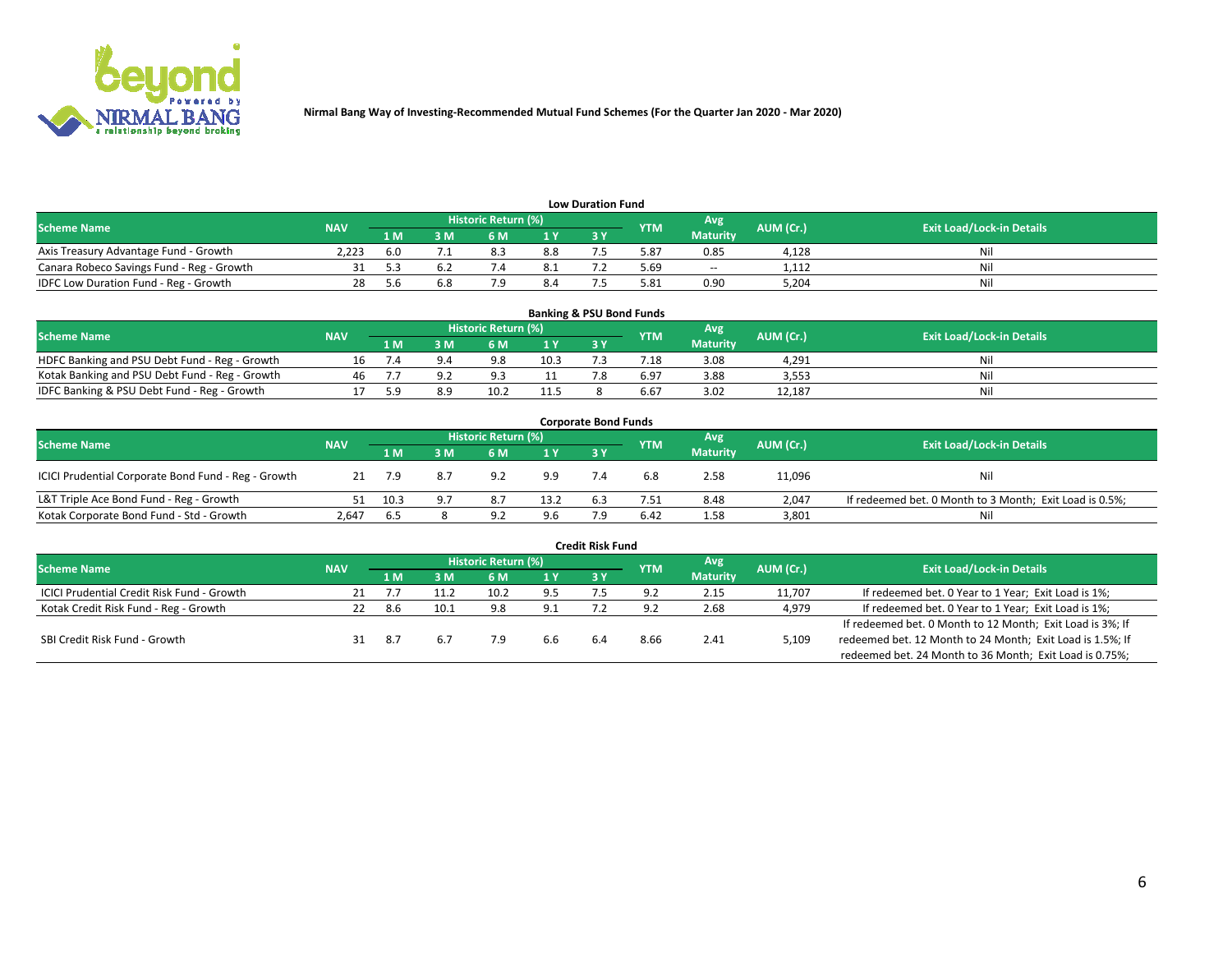

| <b>Low Duration Fund</b>                  |                                  |     |     |     |      |  |            |                 |           |     |  |  |  |  |
|-------------------------------------------|----------------------------------|-----|-----|-----|------|--|------------|-----------------|-----------|-----|--|--|--|--|
| <b>Scheme Name</b>                        | <b>Exit Load/Lock-in Details</b> |     |     |     |      |  |            |                 |           |     |  |  |  |  |
|                                           | <b>NAV</b>                       | 1 M | ያ M | 5 M | 4 V. |  | <b>YTM</b> | <b>Maturity</b> | AUM (Cr.) |     |  |  |  |  |
| Axis Treasury Advantage Fund - Growth     | 2.223                            | 6.0 |     | 8.3 | 8.8  |  | 5.87       | 0.85            | 4,128     | Nil |  |  |  |  |
| Canara Robeco Savings Fund - Reg - Growth |                                  |     |     |     | د. ک |  | 5.69       | $-$             | 1,112     | Nil |  |  |  |  |
| IDFC Low Duration Fund - Reg - Growth     |                                  | 5 h | 6.8 |     | 8.4  |  | 5.81       | 0.90            | 5,204     | Nil |  |  |  |  |

| <b>Banking &amp; PSU Bond Funds</b>            |            |     |    |                            |      |           |                 |                 |           |                                  |  |  |  |  |
|------------------------------------------------|------------|-----|----|----------------------------|------|-----------|-----------------|-----------------|-----------|----------------------------------|--|--|--|--|
| <b>Scheme Name</b>                             | <b>NAV</b> |     |    | <b>Historic Return (%)</b> |      |           | <b>YTM</b>      | Avg             | AUM (Cr.) | <b>Exit Load/Lock-in Details</b> |  |  |  |  |
|                                                |            | 1 M | sм | 6 M                        |      | <b>3Y</b> |                 | <b>Maturity</b> |           |                                  |  |  |  |  |
| HDFC Banking and PSU Debt Fund - Reg - Growth  |            |     |    | 9.8                        | 10.3 |           | $^{\prime}$ .18 | 3.08            | 4.291     | Ni                               |  |  |  |  |
| Kotak Banking and PSU Debt Fund - Reg - Growth | 46         |     |    | Q 3                        |      |           | 6.97            | 3.88            | 3,553     | Ni                               |  |  |  |  |
| IDFC Banking & PSU Debt Fund - Reg - Growth    |            |     |    |                            | 11.5 |           | 6.67            | 3.02            | 12.187    | Ni                               |  |  |  |  |

| <b>Corporate Bond Funds</b>                                                                                                   |       |      |     |     |      |            |      |                 |        |                                                         |  |  |  |  |
|-------------------------------------------------------------------------------------------------------------------------------|-------|------|-----|-----|------|------------|------|-----------------|--------|---------------------------------------------------------|--|--|--|--|
| Historic Return (%)<br>Avg<br>AUM (Cr.)<br><b>Exit Load/Lock-in Details</b><br><b>Scheme Name</b><br><b>NAV</b><br><b>YTM</b> |       |      |     |     |      |            |      |                 |        |                                                         |  |  |  |  |
|                                                                                                                               |       | 1 M  | 8 M | 6 M | 1 Y  | <b>3 Y</b> |      | <b>Maturity</b> |        |                                                         |  |  |  |  |
| ICICI Prudential Corporate Bond Fund - Reg - Growth                                                                           |       |      | 8.7 | 9.2 | 9.9  |            | 6.8  | 2.58            | 11,096 | Nil                                                     |  |  |  |  |
| L&T Triple Ace Bond Fund - Reg - Growth                                                                                       |       | 10.3 |     | 8.7 | 13.2 | 6.3        | 7.51 | 8.48            | 2,047  | If redeemed bet. 0 Month to 3 Month; Exit Load is 0.5%; |  |  |  |  |
| Kotak Corporate Bond Fund - Std - Growth                                                                                      | 2.647 | 6.5  |     | a · | 9.6  |            | 6.42 | 1.58            | 3,801  | Nil                                                     |  |  |  |  |

| <b>Credit Risk Fund</b>                           |            |      |      |                            |     |    |            |                 |           |                                                           |  |  |  |
|---------------------------------------------------|------------|------|------|----------------------------|-----|----|------------|-----------------|-----------|-----------------------------------------------------------|--|--|--|
| <b>Scheme Name</b>                                | <b>NAV</b> |      |      | <b>Historic Return (%)</b> |     |    | <b>YTM</b> | Avg             | AUM (Cr.) | <b>Exit Load/Lock-in Details</b>                          |  |  |  |
|                                                   |            | 1 M  | 3 M  | 6 M                        | 1 Y | 3Y |            | <b>Maturity</b> |           |                                                           |  |  |  |
| <b>ICICI Prudential Credit Risk Fund - Growth</b> |            |      |      | 10.2                       | 9.5 |    | 9.2        | 2.15            | 11,707    | If redeemed bet. 0 Year to 1 Year; Exit Load is 1%;       |  |  |  |
| Kotak Credit Risk Fund - Reg - Growth             |            | 8.6  | 10.1 | 9.8                        | 9.1 |    |            | 2.68            | 4,979     | If redeemed bet. 0 Year to 1 Year; Exit Load is 1%;       |  |  |  |
|                                                   |            |      |      |                            |     |    |            |                 |           | If redeemed bet. 0 Month to 12 Month; Exit Load is 3%; If |  |  |  |
| SBI Credit Risk Fund - Growth                     |            | -8.7 |      |                            | 6.6 |    | 8.66       | 2.41            | 5,109     | redeemed bet. 12 Month to 24 Month; Exit Load is 1.5%; If |  |  |  |
|                                                   |            |      |      |                            |     |    |            |                 |           | redeemed bet. 24 Month to 36 Month; Exit Load is 0.75%;   |  |  |  |